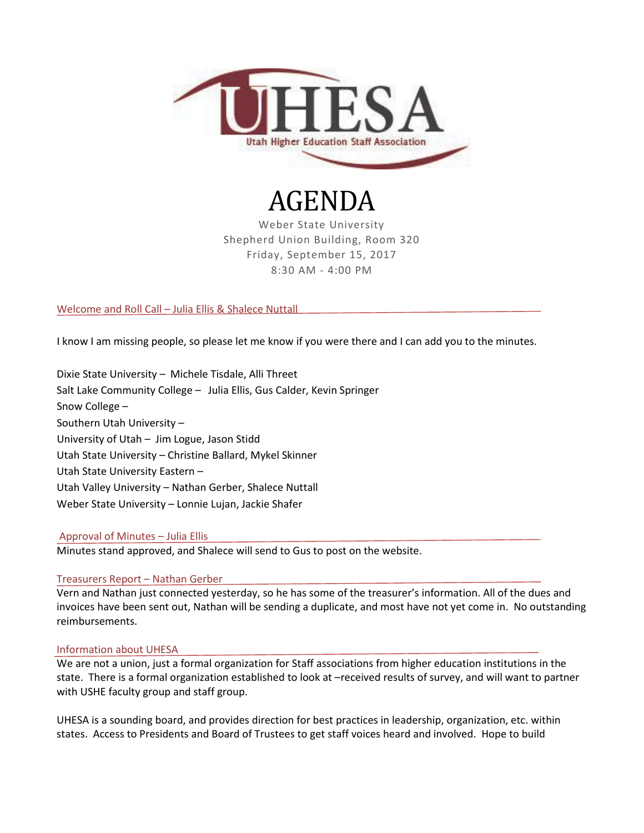

# AGENDA

Weber State University Shepherd Union Building, Room 320 Friday, September 15, 2017 8:30 AM - 4:00 PM

# Welcome and Roll Call – Julia Ellis & Shalece Nuttall

I know I am missing people, so please let me know if you were there and I can add you to the minutes.

Dixie State University – Michele Tisdale, Alli Threet Salt Lake Community College – Julia Ellis, Gus Calder, Kevin Springer Snow College – Southern Utah University – University of Utah – Jim Logue, Jason Stidd Utah State University – Christine Ballard, Mykel Skinner Utah State University Eastern – Utah Valley University – Nathan Gerber, Shalece Nuttall Weber State University – Lonnie Lujan, Jackie Shafer

# Approval of Minutes – Julia Ellis

Minutes stand approved, and Shalece will send to Gus to post on the website.

# Treasurers Report – Nathan Gerber

Vern and Nathan just connected yesterday, so he has some of the treasurer's information. All of the dues and invoices have been sent out, Nathan will be sending a duplicate, and most have not yet come in. No outstanding reimbursements.

## Information about UHESA

We are not a union, just a formal organization for Staff associations from higher education institutions in the state. There is a formal organization established to look at –received results of survey, and will want to partner with USHE faculty group and staff group.

UHESA is a sounding board, and provides direction for best practices in leadership, organization, etc. within states. Access to Presidents and Board of Trustees to get staff voices heard and involved. Hope to build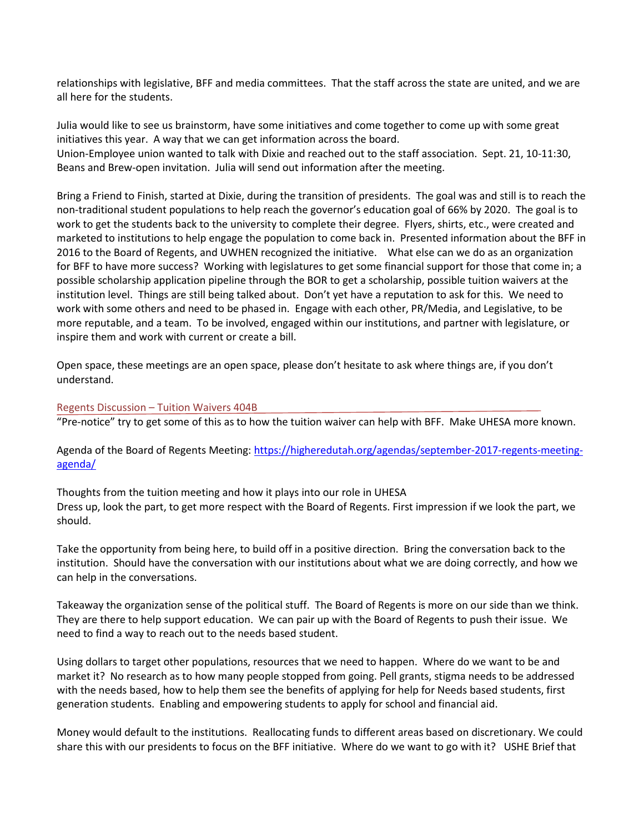relationships with legislative, BFF and media committees. That the staff across the state are united, and we are all here for the students.

Julia would like to see us brainstorm, have some initiatives and come together to come up with some great initiatives this year. A way that we can get information across the board. Union-Employee union wanted to talk with Dixie and reached out to the staff association. Sept. 21, 10-11:30, Beans and Brew-open invitation. Julia will send out information after the meeting.

Bring a Friend to Finish, started at Dixie, during the transition of presidents. The goal was and still is to reach the non-traditional student populations to help reach the governor's education goal of 66% by 2020. The goal is to work to get the students back to the university to complete their degree. Flyers, shirts, etc., were created and marketed to institutions to help engage the population to come back in. Presented information about the BFF in 2016 to the Board of Regents, and UWHEN recognized the initiative. What else can we do as an organization for BFF to have more success? Working with legislatures to get some financial support for those that come in; a possible scholarship application pipeline through the BOR to get a scholarship, possible tuition waivers at the institution level. Things are still being talked about. Don't yet have a reputation to ask for this. We need to work with some others and need to be phased in. Engage with each other, PR/Media, and Legislative, to be more reputable, and a team. To be involved, engaged within our institutions, and partner with legislature, or inspire them and work with current or create a bill.

Open space, these meetings are an open space, please don't hesitate to ask where things are, if you don't understand.

#### Regents Discussion – Tuition Waivers 404B

"Pre-notice" try to get some of this as to how the tuition waiver can help with BFF. Make UHESA more known.

Agenda of the Board of Regents Meeting: [https://higheredutah.org/agendas/september-2017-regents-meeting](https://higheredutah.org/agendas/september-2017-regents-meeting-agenda/)[agenda/](https://higheredutah.org/agendas/september-2017-regents-meeting-agenda/)

Thoughts from the tuition meeting and how it plays into our role in UHESA Dress up, look the part, to get more respect with the Board of Regents. First impression if we look the part, we should.

Take the opportunity from being here, to build off in a positive direction. Bring the conversation back to the institution. Should have the conversation with our institutions about what we are doing correctly, and how we can help in the conversations.

Takeaway the organization sense of the political stuff. The Board of Regents is more on our side than we think. They are there to help support education. We can pair up with the Board of Regents to push their issue. We need to find a way to reach out to the needs based student.

Using dollars to target other populations, resources that we need to happen. Where do we want to be and market it? No research as to how many people stopped from going. Pell grants, stigma needs to be addressed with the needs based, how to help them see the benefits of applying for help for Needs based students, first generation students. Enabling and empowering students to apply for school and financial aid.

Money would default to the institutions. Reallocating funds to different areas based on discretionary. We could share this with our presidents to focus on the BFF initiative. Where do we want to go with it? USHE Brief that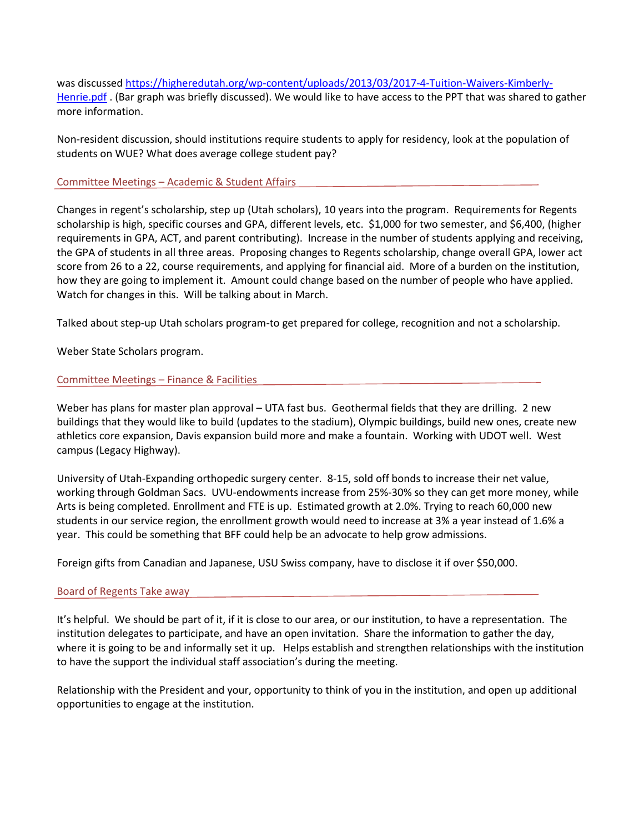was discussed [https://higheredutah.org/wp-content/uploads/2013/03/2017-4-Tuition-Waivers-Kimberly-](https://higheredutah.org/wp-content/uploads/2013/03/2017-4-Tuition-Waivers-Kimberly-Henrie.pdf)[Henrie.pdf](https://higheredutah.org/wp-content/uploads/2013/03/2017-4-Tuition-Waivers-Kimberly-Henrie.pdf) . (Bar graph was briefly discussed). We would like to have access to the PPT that was shared to gather more information.

Non-resident discussion, should institutions require students to apply for residency, look at the population of students on WUE? What does average college student pay?

## Committee Meetings – Academic & Student Affairs

Changes in regent's scholarship, step up (Utah scholars), 10 years into the program. Requirements for Regents scholarship is high, specific courses and GPA, different levels, etc. \$1,000 for two semester, and \$6,400, (higher requirements in GPA, ACT, and parent contributing). Increase in the number of students applying and receiving, the GPA of students in all three areas. Proposing changes to Regents scholarship, change overall GPA, lower act score from 26 to a 22, course requirements, and applying for financial aid. More of a burden on the institution, how they are going to implement it. Amount could change based on the number of people who have applied. Watch for changes in this. Will be talking about in March.

Talked about step-up Utah scholars program-to get prepared for college, recognition and not a scholarship.

Weber State Scholars program.

## Committee Meetings – Finance & Facilities

Weber has plans for master plan approval – UTA fast bus. Geothermal fields that they are drilling. 2 new buildings that they would like to build (updates to the stadium), Olympic buildings, build new ones, create new athletics core expansion, Davis expansion build more and make a fountain. Working with UDOT well. West campus (Legacy Highway).

University of Utah-Expanding orthopedic surgery center. 8-15, sold off bonds to increase their net value, working through Goldman Sacs. UVU-endowments increase from 25%-30% so they can get more money, while Arts is being completed. Enrollment and FTE is up. Estimated growth at 2.0%. Trying to reach 60,000 new students in our service region, the enrollment growth would need to increase at 3% a year instead of 1.6% a year. This could be something that BFF could help be an advocate to help grow admissions.

Foreign gifts from Canadian and Japanese, USU Swiss company, have to disclose it if over \$50,000.

#### Board of Regents Take away

It's helpful. We should be part of it, if it is close to our area, or our institution, to have a representation. The institution delegates to participate, and have an open invitation. Share the information to gather the day, where it is going to be and informally set it up. Helps establish and strengthen relationships with the institution to have the support the individual staff association's during the meeting.

Relationship with the President and your, opportunity to think of you in the institution, and open up additional opportunities to engage at the institution.